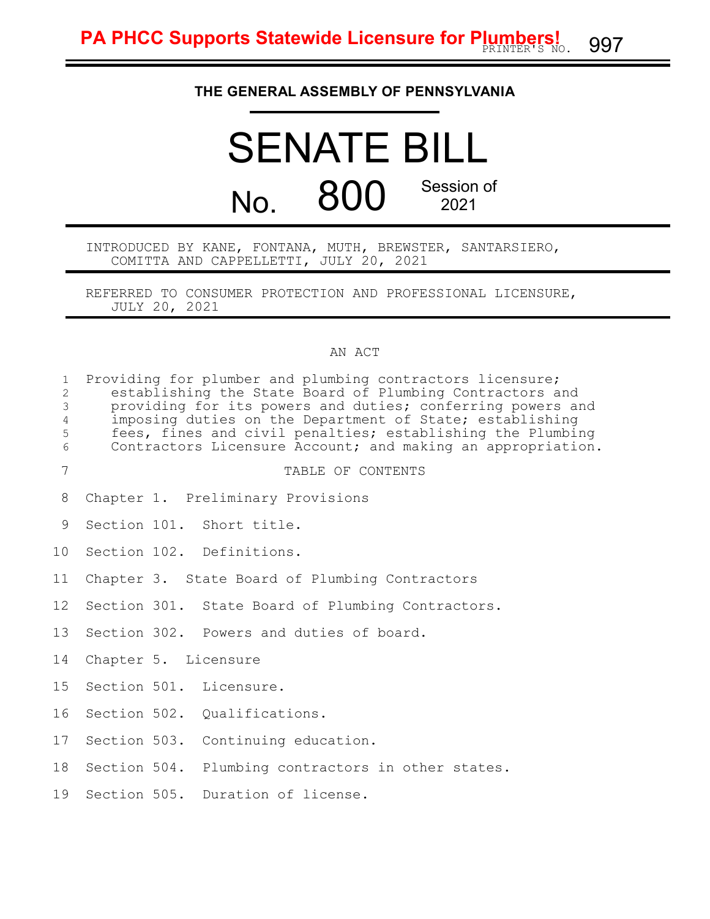## **THE GENERAL ASSEMBLY OF PENNSYLVANIA**

# SENATE BILL No. 800 Session of 2021

INTRODUCED BY KANE, FONTANA, MUTH, BREWSTER, SANTARSIERO, COMITTA AND CAPPELLETTI, JULY 20, 2021

REFERRED TO CONSUMER PROTECTION AND PROFESSIONAL LICENSURE, JULY 20, 2021

#### AN ACT

| $\mathbf{1}$<br>$\mathbf{2}$<br>$\mathfrak{Z}$<br>$\overline{4}$<br>5<br>$\epsilon$ | Providing for plumber and plumbing contractors licensure;<br>establishing the State Board of Plumbing Contractors and<br>providing for its powers and duties; conferring powers and<br>imposing duties on the Department of State; establishing<br>fees, fines and civil penalties; establishing the Plumbing<br>Contractors Licensure Account; and making an appropriation. |  |                                                    |  |  |
|-------------------------------------------------------------------------------------|------------------------------------------------------------------------------------------------------------------------------------------------------------------------------------------------------------------------------------------------------------------------------------------------------------------------------------------------------------------------------|--|----------------------------------------------------|--|--|
| $\overline{7}$                                                                      |                                                                                                                                                                                                                                                                                                                                                                              |  | TABLE OF CONTENTS                                  |  |  |
| 8                                                                                   |                                                                                                                                                                                                                                                                                                                                                                              |  | Chapter 1. Preliminary Provisions                  |  |  |
| 9                                                                                   |                                                                                                                                                                                                                                                                                                                                                                              |  | Section 101. Short title.                          |  |  |
| 10                                                                                  |                                                                                                                                                                                                                                                                                                                                                                              |  | Section 102. Definitions.                          |  |  |
| 11                                                                                  |                                                                                                                                                                                                                                                                                                                                                                              |  | Chapter 3. State Board of Plumbing Contractors     |  |  |
| 12                                                                                  |                                                                                                                                                                                                                                                                                                                                                                              |  | Section 301. State Board of Plumbing Contractors.  |  |  |
| 13                                                                                  |                                                                                                                                                                                                                                                                                                                                                                              |  | Section 302. Powers and duties of board.           |  |  |
| 14                                                                                  | Chapter 5. Licensure                                                                                                                                                                                                                                                                                                                                                         |  |                                                    |  |  |
| 15                                                                                  |                                                                                                                                                                                                                                                                                                                                                                              |  | Section 501. Licensure.                            |  |  |
| 16                                                                                  |                                                                                                                                                                                                                                                                                                                                                                              |  | Section 502. Qualifications.                       |  |  |
| 17                                                                                  |                                                                                                                                                                                                                                                                                                                                                                              |  | Section 503. Continuing education.                 |  |  |
| 18                                                                                  |                                                                                                                                                                                                                                                                                                                                                                              |  | Section 504. Plumbing contractors in other states. |  |  |
| 19                                                                                  |                                                                                                                                                                                                                                                                                                                                                                              |  | Section 505. Duration of license.                  |  |  |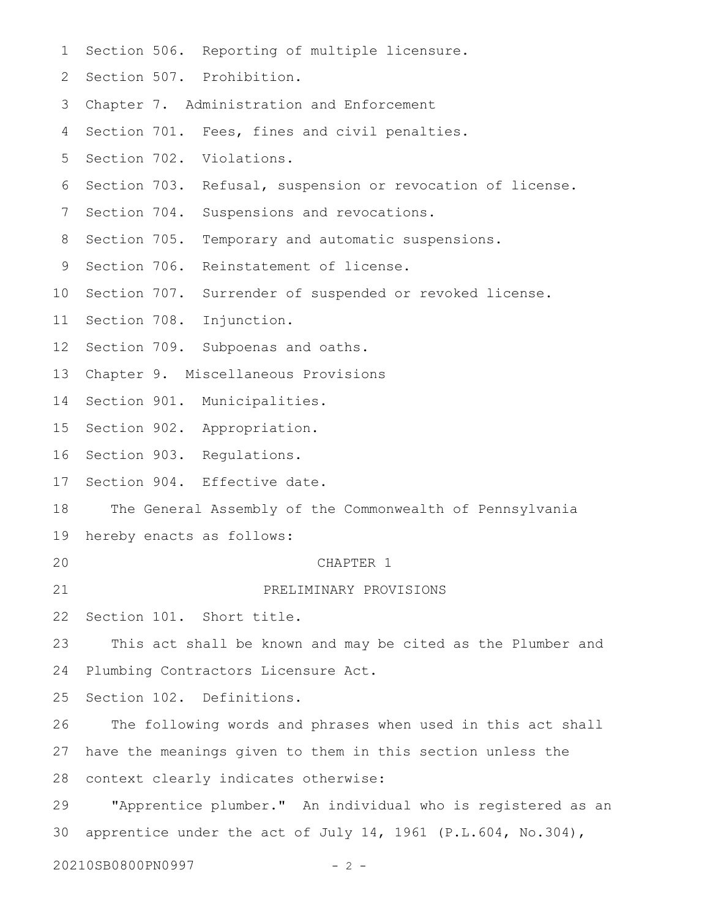| $\mathbf 1$       |                                                            |  | Section 506. Reporting of multiple licensure.                |  |  |
|-------------------|------------------------------------------------------------|--|--------------------------------------------------------------|--|--|
| 2                 |                                                            |  | Section 507. Prohibition.                                    |  |  |
| 3                 |                                                            |  | Chapter 7. Administration and Enforcement                    |  |  |
| 4                 |                                                            |  | Section 701. Fees, fines and civil penalties.                |  |  |
| 5                 |                                                            |  | Section 702. Violations.                                     |  |  |
| 6                 | Section 703.                                               |  | Refusal, suspension or revocation of license.                |  |  |
| 7                 |                                                            |  | Section 704. Suspensions and revocations.                    |  |  |
| 8                 | Section 705.                                               |  | Temporary and automatic suspensions.                         |  |  |
| 9                 | Section 706.                                               |  | Reinstatement of license.                                    |  |  |
| 10                | Section 707.                                               |  | Surrender of suspended or revoked license.                   |  |  |
| 11                |                                                            |  | Section 708. Injunction.                                     |  |  |
| $12 \overline{ }$ |                                                            |  | Section 709. Subpoenas and oaths.                            |  |  |
| 13                |                                                            |  | Chapter 9. Miscellaneous Provisions                          |  |  |
| 14                |                                                            |  | Section 901. Municipalities.                                 |  |  |
| 15                |                                                            |  | Section 902. Appropriation.                                  |  |  |
| 16                |                                                            |  | Section 903. Regulations.                                    |  |  |
| 17                |                                                            |  | Section 904. Effective date.                                 |  |  |
| 18                |                                                            |  | The General Assembly of the Commonwealth of Pennsylvania     |  |  |
| 19                |                                                            |  | hereby enacts as follows:                                    |  |  |
| 20                |                                                            |  | CHAPTER 1                                                    |  |  |
| 21                |                                                            |  | PRELIMINARY PROVISIONS                                       |  |  |
| 22                |                                                            |  | Section 101. Short title.                                    |  |  |
| 23                |                                                            |  | This act shall be known and may be cited as the Plumber and  |  |  |
| 24                |                                                            |  | Plumbing Contractors Licensure Act.                          |  |  |
| 25                |                                                            |  | Section 102. Definitions.                                    |  |  |
| 26                |                                                            |  | The following words and phrases when used in this act shall  |  |  |
| 27                | have the meanings given to them in this section unless the |  |                                                              |  |  |
| 28                | context clearly indicates otherwise:                       |  |                                                              |  |  |
| 29                |                                                            |  | "Apprentice plumber." An individual who is registered as an  |  |  |
| 30                |                                                            |  | apprentice under the act of July 14, 1961 (P.L.604, No.304), |  |  |
|                   | 20210SB0800PN0997                                          |  | $-2-$                                                        |  |  |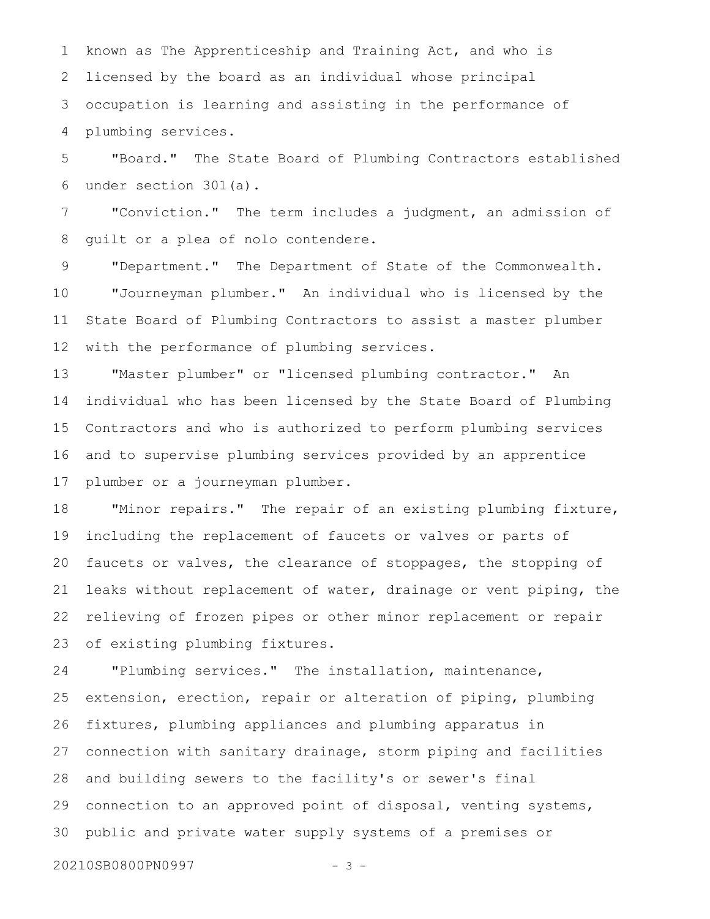known as The Apprenticeship and Training Act, and who is licensed by the board as an individual whose principal occupation is learning and assisting in the performance of plumbing services. 1 2 3 4

"Board." The State Board of Plumbing Contractors established under section 301(a). 5 6

"Conviction." The term includes a judgment, an admission of guilt or a plea of nolo contendere. 7 8

"Department." The Department of State of the Commonwealth. "Journeyman plumber." An individual who is licensed by the State Board of Plumbing Contractors to assist a master plumber with the performance of plumbing services. 9 10 11 12

"Master plumber" or "licensed plumbing contractor." An individual who has been licensed by the State Board of Plumbing Contractors and who is authorized to perform plumbing services and to supervise plumbing services provided by an apprentice plumber or a journeyman plumber. 13 14 15 16 17

"Minor repairs." The repair of an existing plumbing fixture, including the replacement of faucets or valves or parts of faucets or valves, the clearance of stoppages, the stopping of leaks without replacement of water, drainage or vent piping, the relieving of frozen pipes or other minor replacement or repair of existing plumbing fixtures. 18 19 20 21 22 23

"Plumbing services." The installation, maintenance, extension, erection, repair or alteration of piping, plumbing fixtures, plumbing appliances and plumbing apparatus in connection with sanitary drainage, storm piping and facilities and building sewers to the facility's or sewer's final connection to an approved point of disposal, venting systems, public and private water supply systems of a premises or 24 25 26 27 28 29 30

20210SB0800PN0997 - 3 -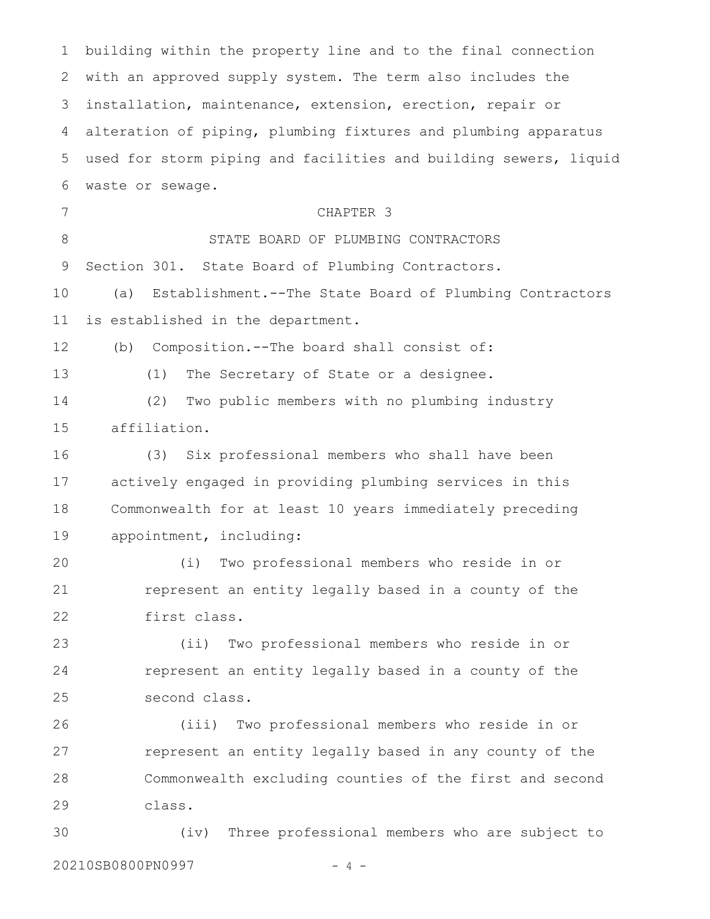building within the property line and to the final connection with an approved supply system. The term also includes the installation, maintenance, extension, erection, repair or alteration of piping, plumbing fixtures and plumbing apparatus used for storm piping and facilities and building sewers, liquid waste or sewage. CHAPTER 3 STATE BOARD OF PLUMBING CONTRACTORS Section 301. State Board of Plumbing Contractors. (a) Establishment.--The State Board of Plumbing Contractors is established in the department. (b) Composition.--The board shall consist of: (1) The Secretary of State or a designee. (2) Two public members with no plumbing industry affiliation. (3) Six professional members who shall have been actively engaged in providing plumbing services in this Commonwealth for at least 10 years immediately preceding appointment, including: (i) Two professional members who reside in or represent an entity legally based in a county of the first class. (ii) Two professional members who reside in or represent an entity legally based in a county of the second class. (iii) Two professional members who reside in or represent an entity legally based in any county of the Commonwealth excluding counties of the first and second class. (iv) Three professional members who are subject to 1 2 3 4 5 6 7 8 9 10 11 12 13 14 15 16 17 18 19 20 21 22 23 24 25 26 27 28 29 30

20210SB0800PN0997 - 4 -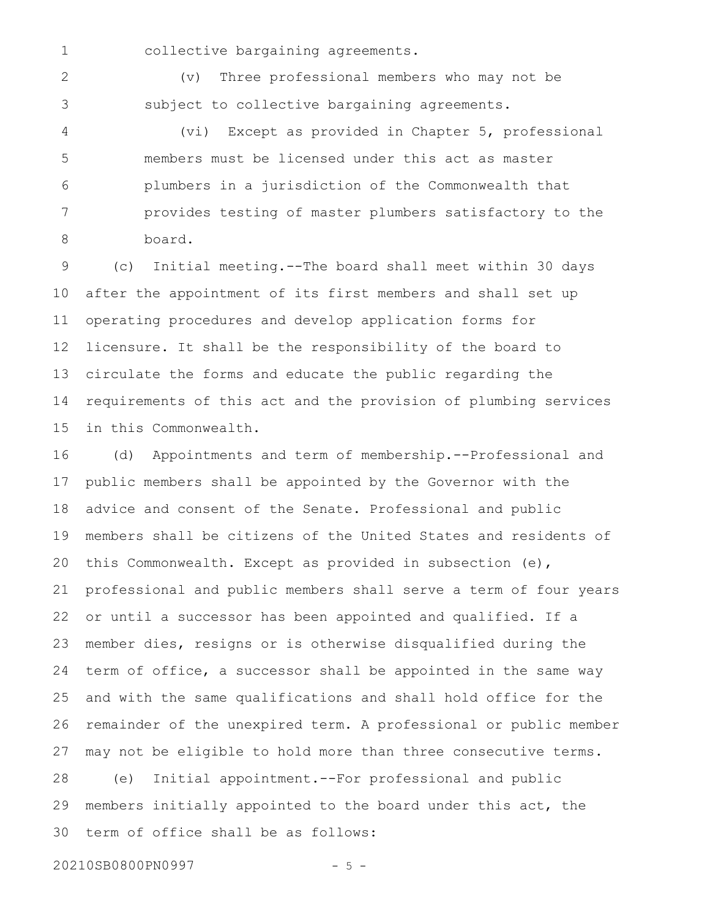1

collective bargaining agreements.

(v) Three professional members who may not be subject to collective bargaining agreements. 2 3

(vi) Except as provided in Chapter 5, professional members must be licensed under this act as master plumbers in a jurisdiction of the Commonwealth that provides testing of master plumbers satisfactory to the board. 4 5 6 7 8

(c) Initial meeting.--The board shall meet within 30 days after the appointment of its first members and shall set up operating procedures and develop application forms for licensure. It shall be the responsibility of the board to circulate the forms and educate the public regarding the requirements of this act and the provision of plumbing services in this Commonwealth. 9 10 11 12 13 14 15

(d) Appointments and term of membership.--Professional and public members shall be appointed by the Governor with the advice and consent of the Senate. Professional and public members shall be citizens of the United States and residents of this Commonwealth. Except as provided in subsection (e), professional and public members shall serve a term of four years or until a successor has been appointed and qualified. If a member dies, resigns or is otherwise disqualified during the term of office, a successor shall be appointed in the same way and with the same qualifications and shall hold office for the remainder of the unexpired term. A professional or public member may not be eligible to hold more than three consecutive terms. (e) Initial appointment.--For professional and public members initially appointed to the board under this act, the 16 17 18 19 20 21 22 23 24 25 26 27 28 29

term of office shall be as follows: 30

20210SB0800PN0997 - 5 -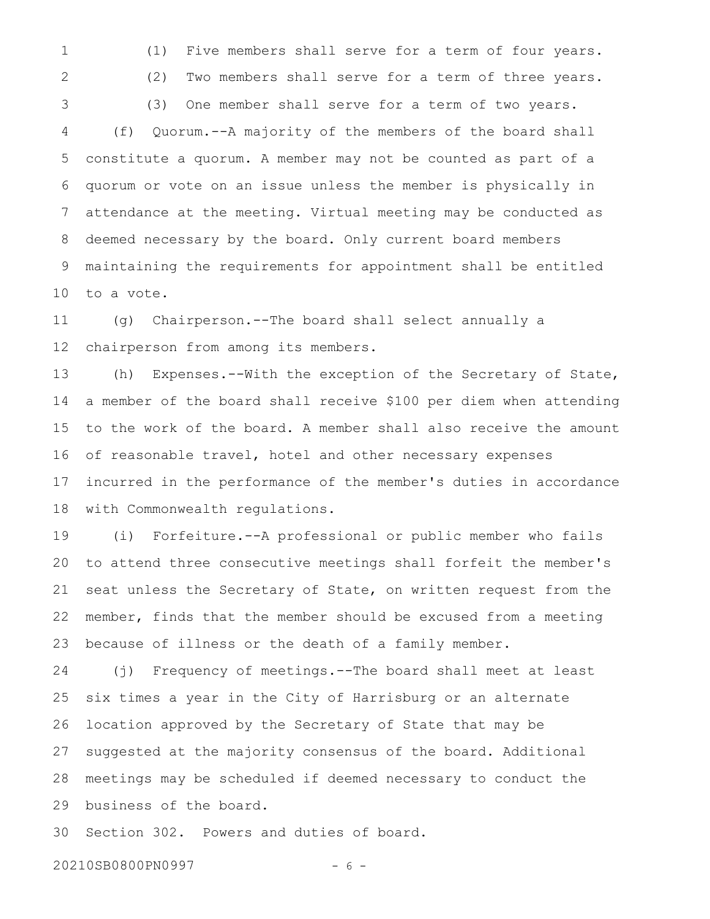1

2

3

(1) Five members shall serve for a term of four years.

(2) Two members shall serve for a term of three years. (3) One member shall serve for a term of two years.

(f) Quorum.--A majority of the members of the board shall constitute a quorum. A member may not be counted as part of a quorum or vote on an issue unless the member is physically in attendance at the meeting. Virtual meeting may be conducted as deemed necessary by the board. Only current board members maintaining the requirements for appointment shall be entitled to a vote. 4 5 6 7 8 9 10

(g) Chairperson.--The board shall select annually a chairperson from among its members. 11 12

(h) Expenses.--With the exception of the Secretary of State, a member of the board shall receive \$100 per diem when attending to the work of the board. A member shall also receive the amount of reasonable travel, hotel and other necessary expenses incurred in the performance of the member's duties in accordance with Commonwealth regulations. 13 14 15 16 17 18

(i) Forfeiture.--A professional or public member who fails to attend three consecutive meetings shall forfeit the member's seat unless the Secretary of State, on written request from the member, finds that the member should be excused from a meeting because of illness or the death of a family member. 19 20 21 22 23

(j) Frequency of meetings.--The board shall meet at least six times a year in the City of Harrisburg or an alternate location approved by the Secretary of State that may be suggested at the majority consensus of the board. Additional meetings may be scheduled if deemed necessary to conduct the business of the board. 24 25 26 27 28 29

Section 302. Powers and duties of board. 30

20210SB0800PN0997 - 6 -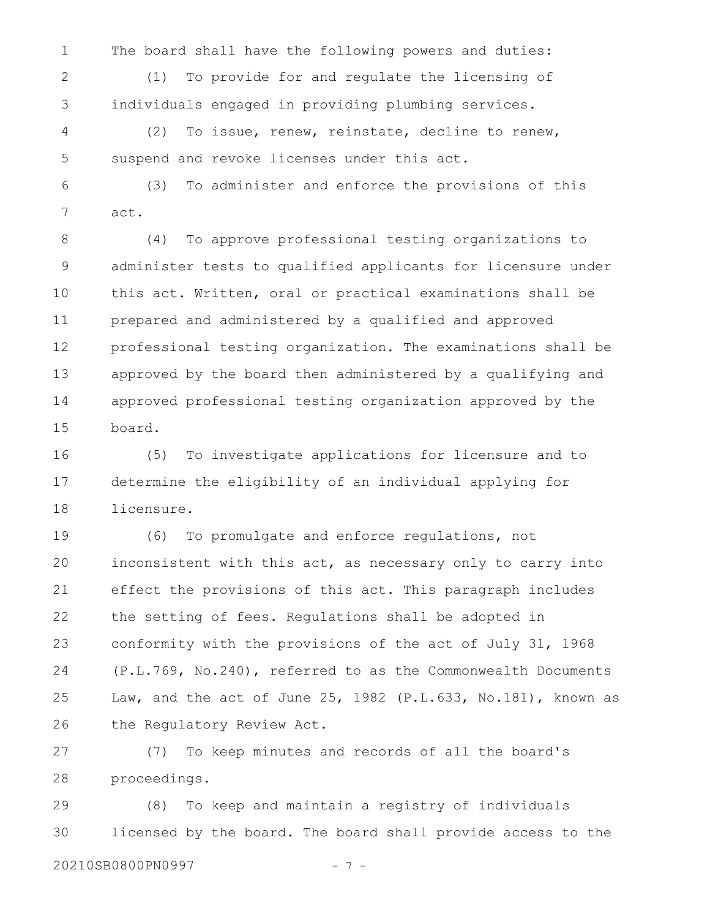The board shall have the following powers and duties:

1

(1) To provide for and regulate the licensing of individuals engaged in providing plumbing services. 2 3

(2) To issue, renew, reinstate, decline to renew, suspend and revoke licenses under this act. 4 5

(3) To administer and enforce the provisions of this act. 6 7

(4) To approve professional testing organizations to administer tests to qualified applicants for licensure under this act. Written, oral or practical examinations shall be prepared and administered by a qualified and approved professional testing organization. The examinations shall be approved by the board then administered by a qualifying and approved professional testing organization approved by the board. 8 9 10 11 12 13 14 15

(5) To investigate applications for licensure and to determine the eligibility of an individual applying for licensure. 16 17 18

(6) To promulgate and enforce regulations, not inconsistent with this act, as necessary only to carry into effect the provisions of this act. This paragraph includes the setting of fees. Regulations shall be adopted in conformity with the provisions of the act of July 31, 1968 (P.L.769, No.240), referred to as the Commonwealth Documents Law, and the act of June 25, 1982 (P.L.633, No.181), known as the Regulatory Review Act. 19 20 21 22 23 24 25 26

(7) To keep minutes and records of all the board's proceedings. 27 28

(8) To keep and maintain a registry of individuals licensed by the board. The board shall provide access to the 20210SB0800PN0997 - 7 - 29 30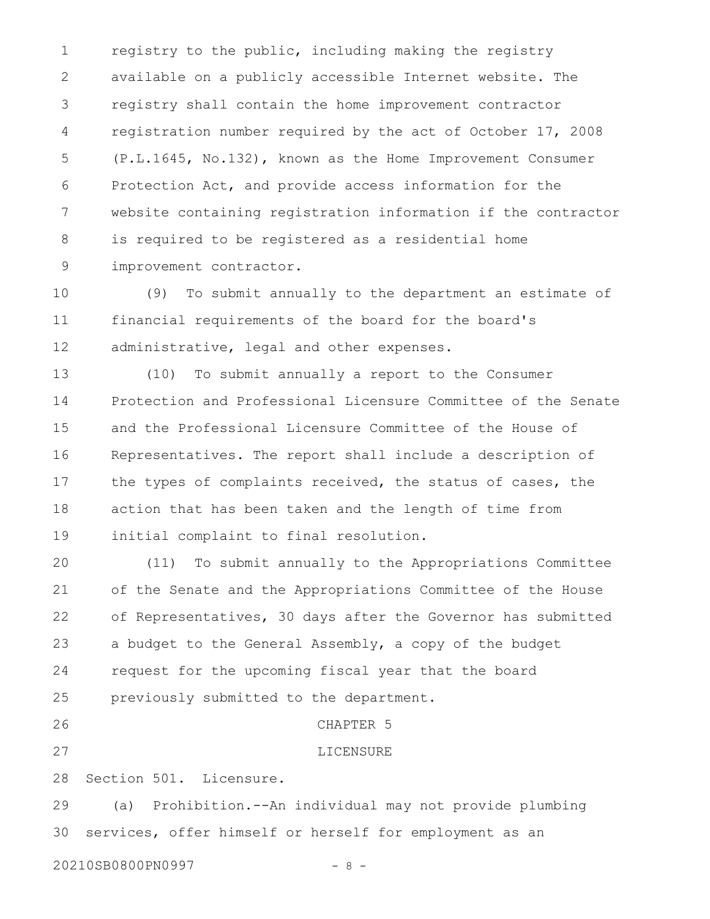registry to the public, including making the registry available on a publicly accessible Internet website. The registry shall contain the home improvement contractor registration number required by the act of October 17, 2008 (P.L.1645, No.132), known as the Home Improvement Consumer Protection Act, and provide access information for the website containing registration information if the contractor is required to be registered as a residential home improvement contractor. 1 2 3 4 5 6 7 8 9

(9) To submit annually to the department an estimate of financial requirements of the board for the board's administrative, legal and other expenses. 10 11 12

(10) To submit annually a report to the Consumer Protection and Professional Licensure Committee of the Senate and the Professional Licensure Committee of the House of Representatives. The report shall include a description of the types of complaints received, the status of cases, the action that has been taken and the length of time from initial complaint to final resolution. 13 14 15 16 17 18 19

(11) To submit annually to the Appropriations Committee of the Senate and the Appropriations Committee of the House of Representatives, 30 days after the Governor has submitted a budget to the General Assembly, a copy of the budget request for the upcoming fiscal year that the board previously submitted to the department. CHAPTER 5 20 21 22 23 24 25 26

27

LICENSURE

Section 501. Licensure. 28

(a) Prohibition.--An individual may not provide plumbing services, offer himself or herself for employment as an 29 30

20210SB0800PN0997 - 8 -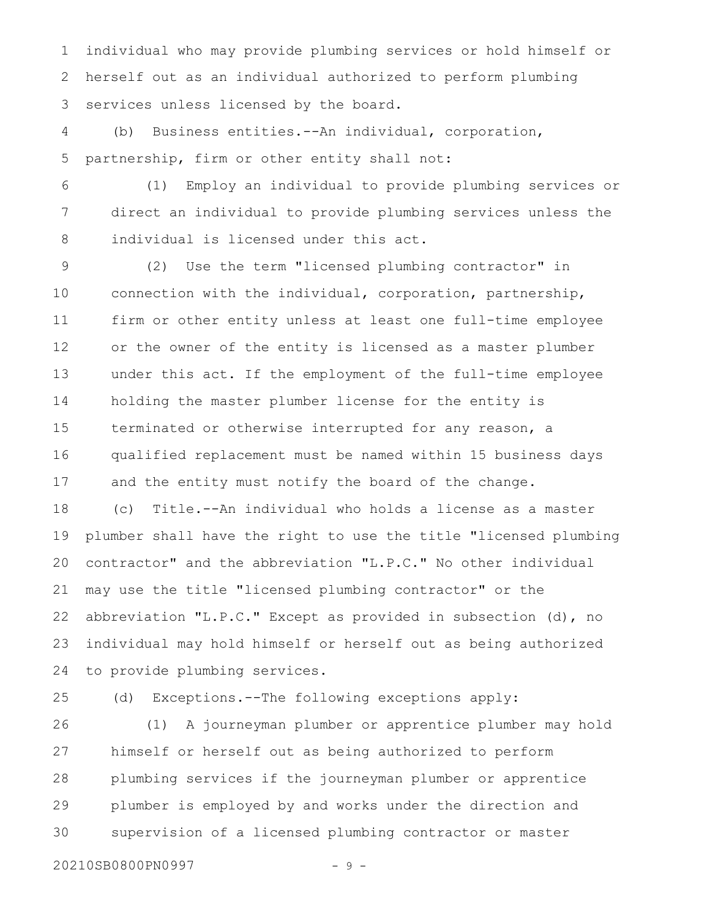individual who may provide plumbing services or hold himself or herself out as an individual authorized to perform plumbing services unless licensed by the board. 1 2 3

(b) Business entities.--An individual, corporation, partnership, firm or other entity shall not: 4 5

(1) Employ an individual to provide plumbing services or direct an individual to provide plumbing services unless the individual is licensed under this act. 6 7 8

(2) Use the term "licensed plumbing contractor" in connection with the individual, corporation, partnership, firm or other entity unless at least one full-time employee or the owner of the entity is licensed as a master plumber under this act. If the employment of the full-time employee holding the master plumber license for the entity is terminated or otherwise interrupted for any reason, a qualified replacement must be named within 15 business days and the entity must notify the board of the change. 9 10 11 12 13 14 15 16 17

(c) Title.--An individual who holds a license as a master plumber shall have the right to use the title "licensed plumbing contractor" and the abbreviation "L.P.C." No other individual may use the title "licensed plumbing contractor" or the abbreviation "L.P.C." Except as provided in subsection (d), no individual may hold himself or herself out as being authorized to provide plumbing services. 18 19 20 21 22 23 24

25

(d) Exceptions.--The following exceptions apply:

(1) A journeyman plumber or apprentice plumber may hold himself or herself out as being authorized to perform plumbing services if the journeyman plumber or apprentice plumber is employed by and works under the direction and supervision of a licensed plumbing contractor or master 26 27 28 29 30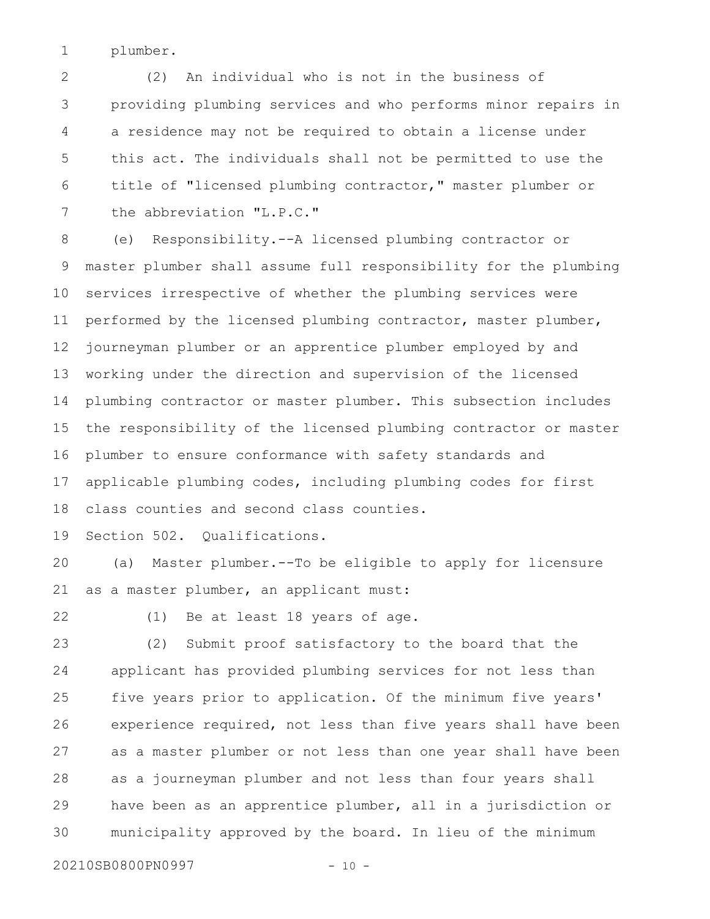plumber. 1

(2) An individual who is not in the business of providing plumbing services and who performs minor repairs in a residence may not be required to obtain a license under this act. The individuals shall not be permitted to use the title of "licensed plumbing contractor," master plumber or the abbreviation "L.P.C." 2 3 4 5 6 7

(e) Responsibility.--A licensed plumbing contractor or master plumber shall assume full responsibility for the plumbing services irrespective of whether the plumbing services were performed by the licensed plumbing contractor, master plumber, journeyman plumber or an apprentice plumber employed by and working under the direction and supervision of the licensed plumbing contractor or master plumber. This subsection includes the responsibility of the licensed plumbing contractor or master plumber to ensure conformance with safety standards and applicable plumbing codes, including plumbing codes for first class counties and second class counties. 8 9 10 11 12 13 14 15 16 17 18

Section 502. Qualifications. 19

(a) Master plumber.--To be eligible to apply for licensure as a master plumber, an applicant must: 20 21

22

(1) Be at least 18 years of age.

(2) Submit proof satisfactory to the board that the applicant has provided plumbing services for not less than five years prior to application. Of the minimum five years' experience required, not less than five years shall have been as a master plumber or not less than one year shall have been as a journeyman plumber and not less than four years shall have been as an apprentice plumber, all in a jurisdiction or municipality approved by the board. In lieu of the minimum 23 24 25 26 27 28 29 30

20210SB0800PN0997 - 10 -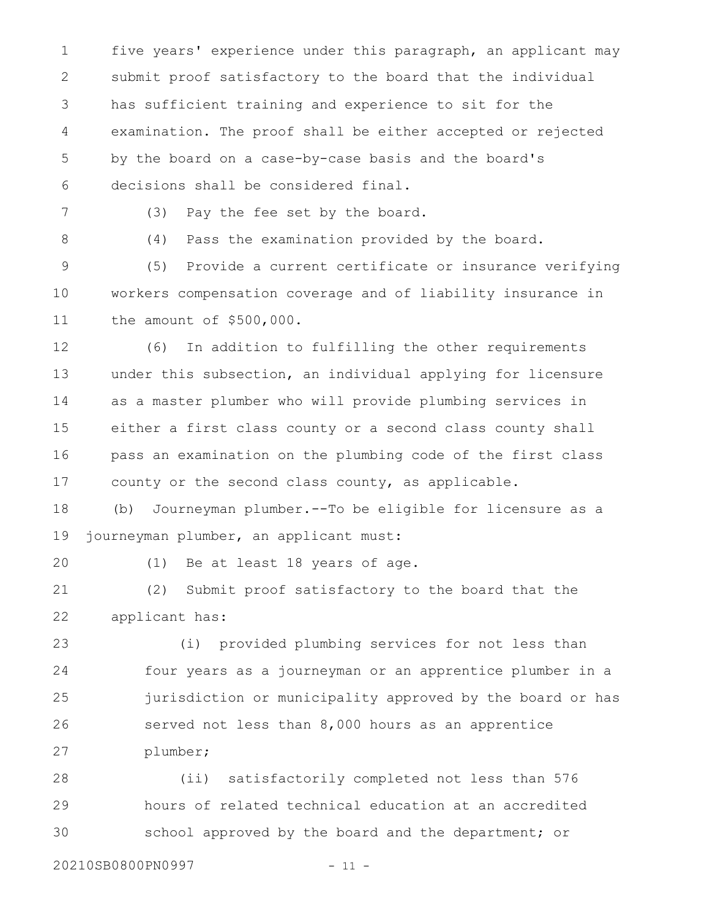five years' experience under this paragraph, an applicant may submit proof satisfactory to the board that the individual has sufficient training and experience to sit for the examination. The proof shall be either accepted or rejected by the board on a case-by-case basis and the board's decisions shall be considered final. 1 2 3 4 5 6

7

(3) Pay the fee set by the board.

8

(4) Pass the examination provided by the board.

(5) Provide a current certificate or insurance verifying workers compensation coverage and of liability insurance in the amount of \$500,000. 9 10 11

(6) In addition to fulfilling the other requirements under this subsection, an individual applying for licensure as a master plumber who will provide plumbing services in either a first class county or a second class county shall pass an examination on the plumbing code of the first class county or the second class county, as applicable. 12 13 14 15 16 17

(b) Journeyman plumber.--To be eligible for licensure as a journeyman plumber, an applicant must: 18 19

20

(1) Be at least 18 years of age.

(2) Submit proof satisfactory to the board that the applicant has: 21 22

(i) provided plumbing services for not less than four years as a journeyman or an apprentice plumber in a jurisdiction or municipality approved by the board or has served not less than 8,000 hours as an apprentice plumber; 23 24 25 26 27

(ii) satisfactorily completed not less than 576 hours of related technical education at an accredited school approved by the board and the department; or 28 29 30

20210SB0800PN0997 - 11 -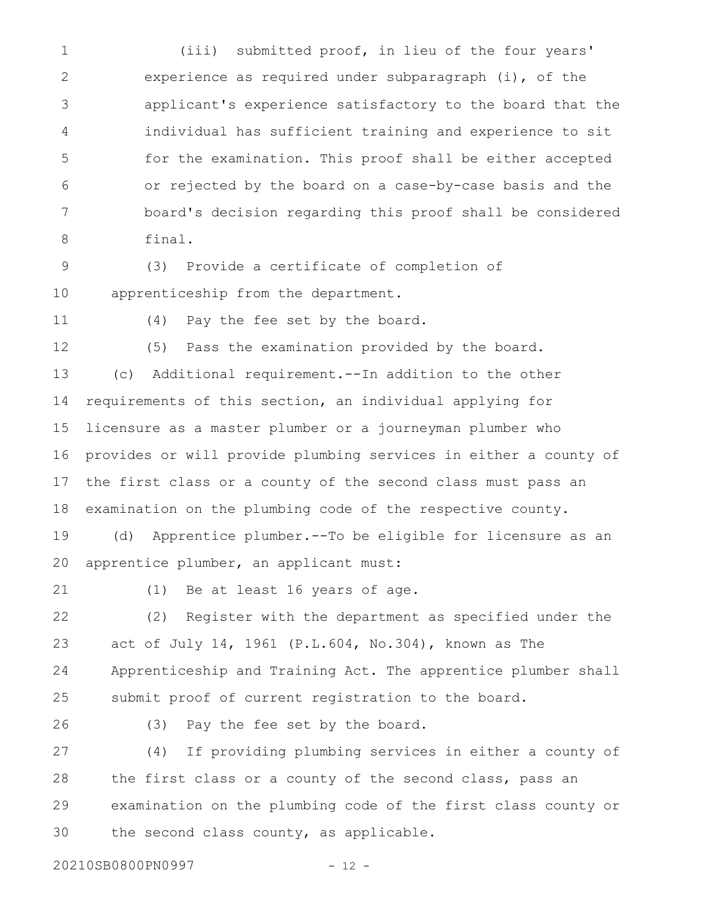(iii) submitted proof, in lieu of the four years' experience as required under subparagraph (i), of the applicant's experience satisfactory to the board that the individual has sufficient training and experience to sit for the examination. This proof shall be either accepted or rejected by the board on a case-by-case basis and the board's decision regarding this proof shall be considered final. 1 2 3 4 5 6 7 8

(3) Provide a certificate of completion of apprenticeship from the department. 9 10

11

(4) Pay the fee set by the board.

12

(5) Pass the examination provided by the board.

(c) Additional requirement.--In addition to the other requirements of this section, an individual applying for licensure as a master plumber or a journeyman plumber who provides or will provide plumbing services in either a county of the first class or a county of the second class must pass an examination on the plumbing code of the respective county. 13 14 15 16 17 18

(d) Apprentice plumber.--To be eligible for licensure as an apprentice plumber, an applicant must: 19 20

21

(1) Be at least 16 years of age.

(2) Register with the department as specified under the act of July 14, 1961 (P.L.604, No.304), known as The Apprenticeship and Training Act. The apprentice plumber shall submit proof of current registration to the board. 22 23 24 25

26

(3) Pay the fee set by the board.

(4) If providing plumbing services in either a county of the first class or a county of the second class, pass an examination on the plumbing code of the first class county or the second class county, as applicable. 27 28 29 30

20210SB0800PN0997 - 12 -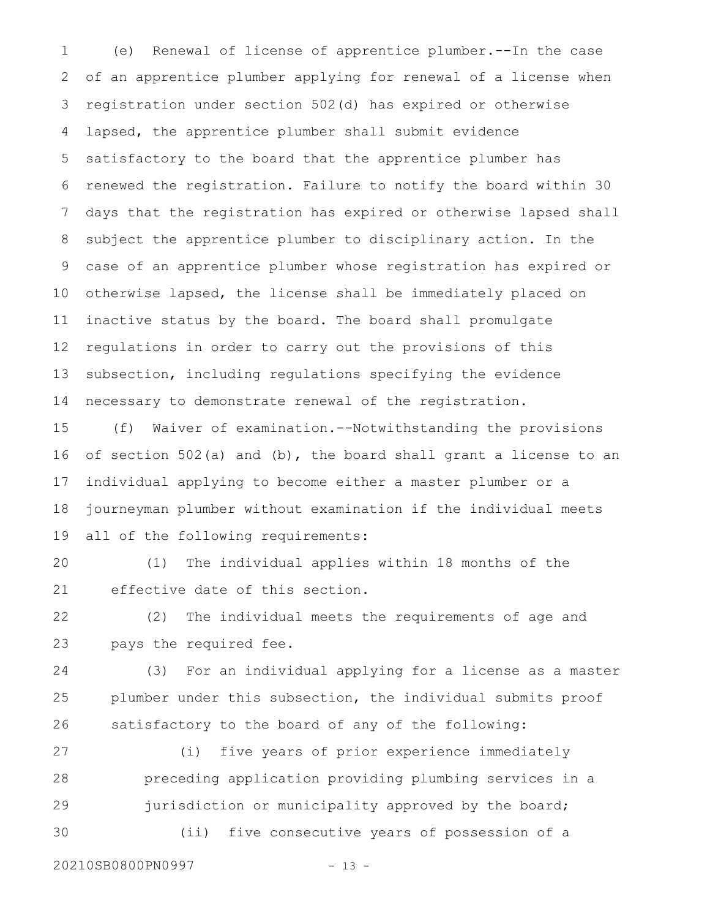(e) Renewal of license of apprentice plumber.--In the case of an apprentice plumber applying for renewal of a license when registration under section 502(d) has expired or otherwise lapsed, the apprentice plumber shall submit evidence satisfactory to the board that the apprentice plumber has renewed the registration. Failure to notify the board within 30 days that the registration has expired or otherwise lapsed shall subject the apprentice plumber to disciplinary action. In the case of an apprentice plumber whose registration has expired or otherwise lapsed, the license shall be immediately placed on inactive status by the board. The board shall promulgate regulations in order to carry out the provisions of this subsection, including regulations specifying the evidence necessary to demonstrate renewal of the registration. 1 2 3 4 5 6 7 8 9 10 11 12 13 14

(f) Waiver of examination.--Notwithstanding the provisions of section 502(a) and (b), the board shall grant a license to an individual applying to become either a master plumber or a journeyman plumber without examination if the individual meets all of the following requirements: 15 16 17 18 19

(1) The individual applies within 18 months of the effective date of this section. 20 21

(2) The individual meets the requirements of age and pays the required fee. 22 23

(3) For an individual applying for a license as a master plumber under this subsection, the individual submits proof satisfactory to the board of any of the following: 24 25 26

(i) five years of prior experience immediately preceding application providing plumbing services in a jurisdiction or municipality approved by the board; (ii) five consecutive years of possession of a 27 28 29 30

20210SB0800PN0997 - 13 -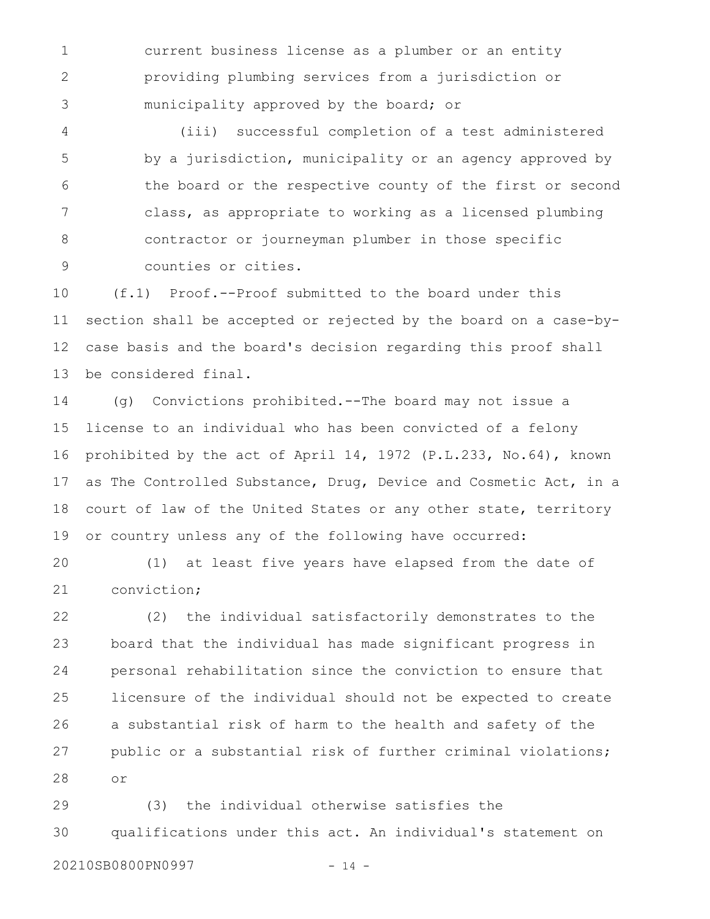current business license as a plumber or an entity providing plumbing services from a jurisdiction or municipality approved by the board; or 1 2 3

(iii) successful completion of a test administered by a jurisdiction, municipality or an agency approved by the board or the respective county of the first or second class, as appropriate to working as a licensed plumbing contractor or journeyman plumber in those specific counties or cities. 4 5 6 7 8 9

(f.1) Proof.--Proof submitted to the board under this section shall be accepted or rejected by the board on a case-bycase basis and the board's decision regarding this proof shall be considered final. 10 11 12 13

(g) Convictions prohibited.--The board may not issue a license to an individual who has been convicted of a felony prohibited by the act of April 14, 1972 (P.L.233, No.64), known as The Controlled Substance, Drug, Device and Cosmetic Act, in a court of law of the United States or any other state, territory or country unless any of the following have occurred: 14 15 16 17 18 19

(1) at least five years have elapsed from the date of conviction; 20 21

(2) the individual satisfactorily demonstrates to the board that the individual has made significant progress in personal rehabilitation since the conviction to ensure that licensure of the individual should not be expected to create a substantial risk of harm to the health and safety of the public or a substantial risk of further criminal violations; or 22 23 24 25 26 27 28

(3) the individual otherwise satisfies the qualifications under this act. An individual's statement on 29 30

20210SB0800PN0997 - 14 -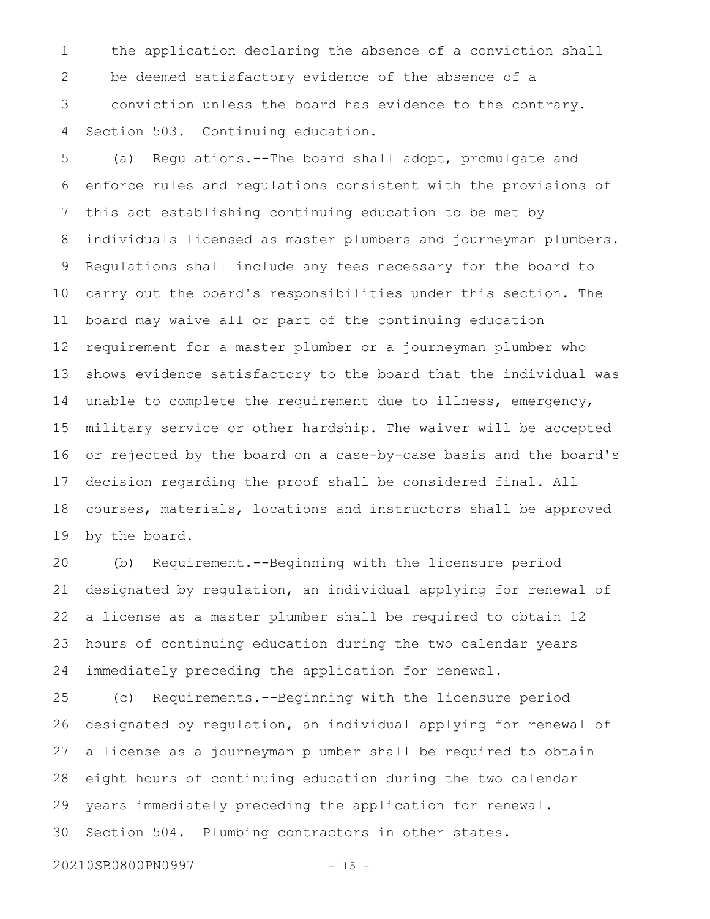the application declaring the absence of a conviction shall be deemed satisfactory evidence of the absence of a conviction unless the board has evidence to the contrary. Section 503. Continuing education. 1 2 3 4

(a) Regulations.--The board shall adopt, promulgate and enforce rules and regulations consistent with the provisions of this act establishing continuing education to be met by individuals licensed as master plumbers and journeyman plumbers. Regulations shall include any fees necessary for the board to carry out the board's responsibilities under this section. The board may waive all or part of the continuing education requirement for a master plumber or a journeyman plumber who shows evidence satisfactory to the board that the individual was unable to complete the requirement due to illness, emergency, military service or other hardship. The waiver will be accepted or rejected by the board on a case-by-case basis and the board's decision regarding the proof shall be considered final. All courses, materials, locations and instructors shall be approved by the board. 5 6 7 8 9 10 11 12 13 14 15 16 17 18 19

(b) Requirement.--Beginning with the licensure period designated by regulation, an individual applying for renewal of a license as a master plumber shall be required to obtain 12 hours of continuing education during the two calendar years immediately preceding the application for renewal. 20 21 22 23 24

(c) Requirements.--Beginning with the licensure period designated by regulation, an individual applying for renewal of a license as a journeyman plumber shall be required to obtain eight hours of continuing education during the two calendar years immediately preceding the application for renewal. Section 504. Plumbing contractors in other states. 25 26 27 28 29 30

20210SB0800PN0997 - 15 -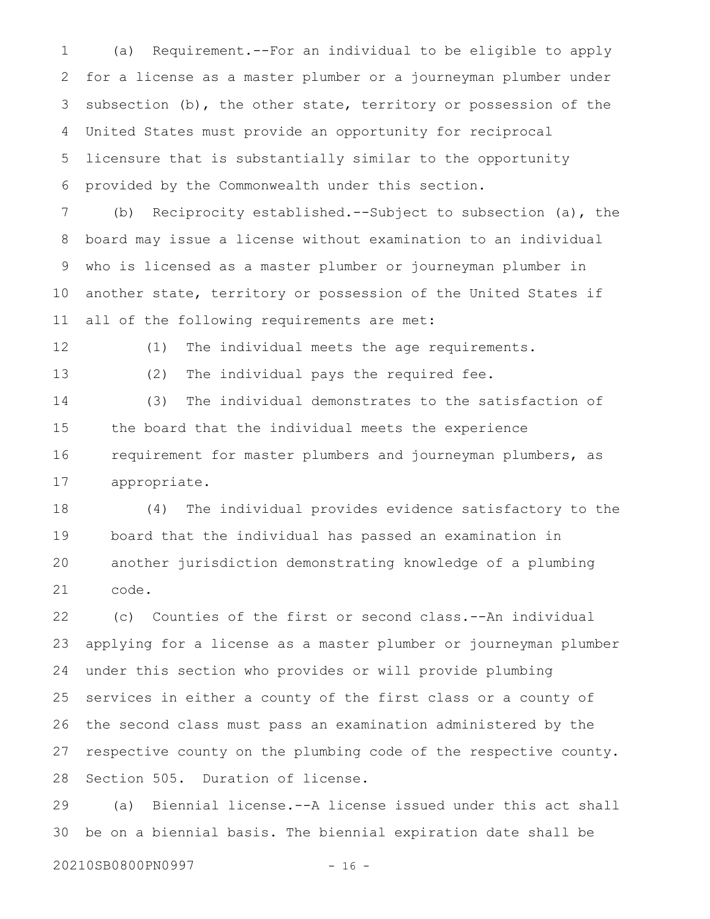(a) Requirement.--For an individual to be eligible to apply for a license as a master plumber or a journeyman plumber under subsection (b), the other state, territory or possession of the United States must provide an opportunity for reciprocal licensure that is substantially similar to the opportunity provided by the Commonwealth under this section. 1 2 3 4 5 6

(b) Reciprocity established.--Subject to subsection (a), the board may issue a license without examination to an individual who is licensed as a master plumber or journeyman plumber in another state, territory or possession of the United States if all of the following requirements are met: 7 8 9 10 11

12

(1) The individual meets the age requirements.

13

(2) The individual pays the required fee.

(3) The individual demonstrates to the satisfaction of the board that the individual meets the experience requirement for master plumbers and journeyman plumbers, as appropriate. 14 15 16 17

(4) The individual provides evidence satisfactory to the board that the individual has passed an examination in another jurisdiction demonstrating knowledge of a plumbing code. 18 19 20 21

(c) Counties of the first or second class.--An individual applying for a license as a master plumber or journeyman plumber under this section who provides or will provide plumbing services in either a county of the first class or a county of the second class must pass an examination administered by the respective county on the plumbing code of the respective county. Section 505. Duration of license. 22 23 24 25 26 27 28

(a) Biennial license.--A license issued under this act shall be on a biennial basis. The biennial expiration date shall be 29 30

20210SB0800PN0997 - 16 -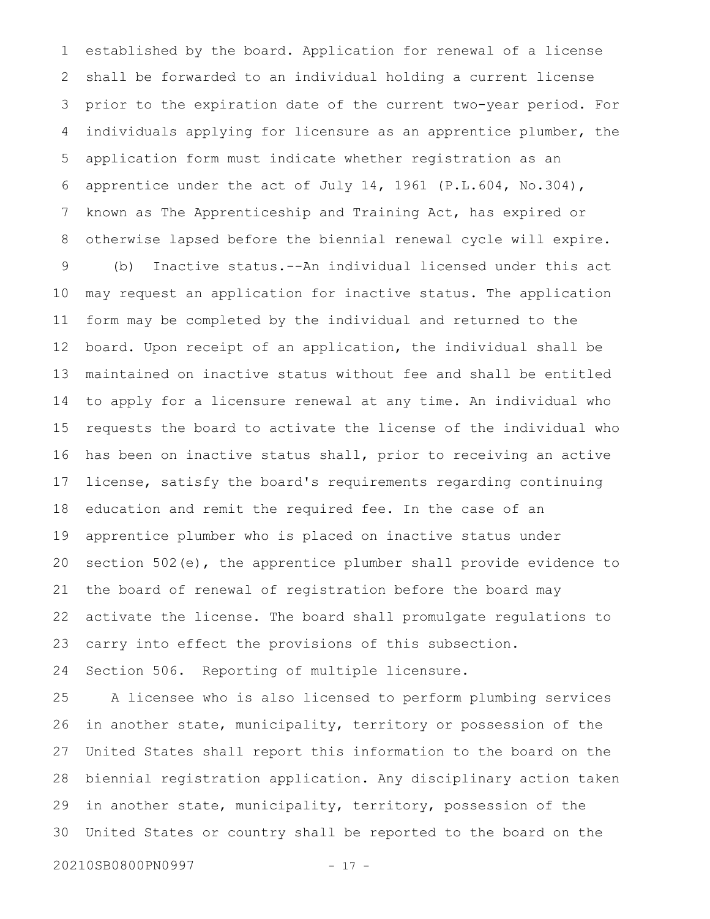established by the board. Application for renewal of a license shall be forwarded to an individual holding a current license prior to the expiration date of the current two-year period. For individuals applying for licensure as an apprentice plumber, the application form must indicate whether registration as an apprentice under the act of July 14, 1961 (P.L.604, No.304), known as The Apprenticeship and Training Act, has expired or otherwise lapsed before the biennial renewal cycle will expire. (b) Inactive status.--An individual licensed under this act may request an application for inactive status. The application form may be completed by the individual and returned to the board. Upon receipt of an application, the individual shall be maintained on inactive status without fee and shall be entitled to apply for a licensure renewal at any time. An individual who requests the board to activate the license of the individual who has been on inactive status shall, prior to receiving an active license, satisfy the board's requirements regarding continuing education and remit the required fee. In the case of an apprentice plumber who is placed on inactive status under section 502(e), the apprentice plumber shall provide evidence to the board of renewal of registration before the board may activate the license. The board shall promulgate regulations to carry into effect the provisions of this subsection. Section 506. Reporting of multiple licensure. 1 2 3 4 5 6 7 8 9 10 11 12 13 14 15 16 17 18 19 20 21 22 23 24

A licensee who is also licensed to perform plumbing services in another state, municipality, territory or possession of the United States shall report this information to the board on the biennial registration application. Any disciplinary action taken in another state, municipality, territory, possession of the United States or country shall be reported to the board on the 25 26 27 28 29 30

20210SB0800PN0997 - 17 -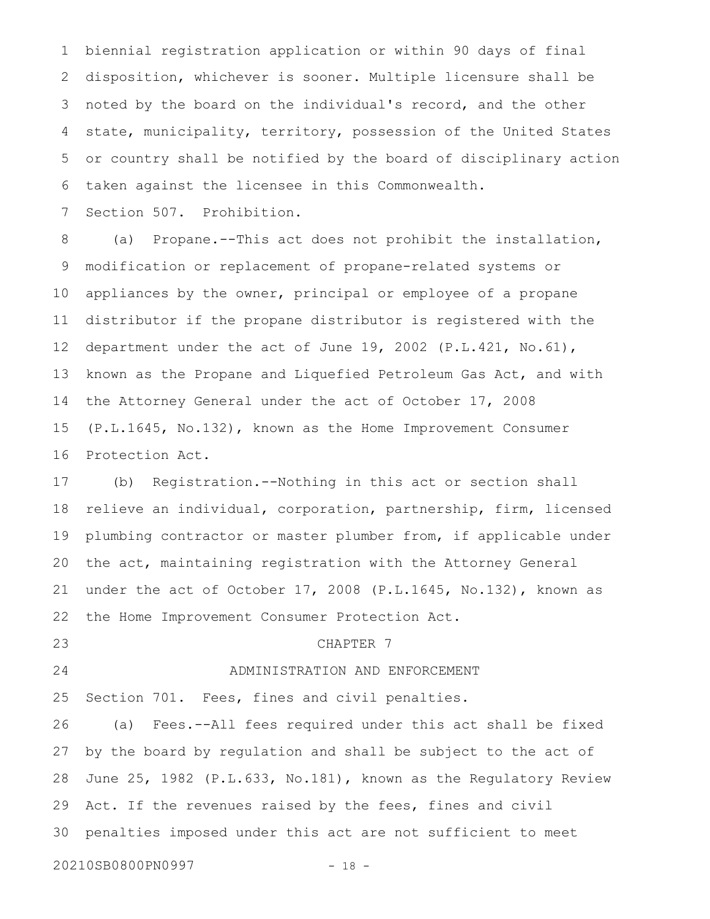biennial registration application or within 90 days of final disposition, whichever is sooner. Multiple licensure shall be noted by the board on the individual's record, and the other state, municipality, territory, possession of the United States or country shall be notified by the board of disciplinary action taken against the licensee in this Commonwealth. Section 507. Prohibition. 1 2 3 4 5 6 7

(a) Propane.--This act does not prohibit the installation, modification or replacement of propane-related systems or appliances by the owner, principal or employee of a propane distributor if the propane distributor is registered with the department under the act of June 19, 2002 (P.L.421, No.61), known as the Propane and Liquefied Petroleum Gas Act, and with the Attorney General under the act of October 17, 2008 (P.L.1645, No.132), known as the Home Improvement Consumer Protection Act. 8 9 10 11 12 13 14 15 16

(b) Registration.--Nothing in this act or section shall relieve an individual, corporation, partnership, firm, licensed plumbing contractor or master plumber from, if applicable under the act, maintaining registration with the Attorney General under the act of October 17, 2008 (P.L.1645, No.132), known as the Home Improvement Consumer Protection Act. 17 18 19 20 21 22

23

24

#### CHAPTER 7

## ADMINISTRATION AND ENFORCEMENT

Section 701. Fees, fines and civil penalties. 25

(a) Fees.--All fees required under this act shall be fixed by the board by regulation and shall be subject to the act of June 25, 1982 (P.L.633, No.181), known as the Regulatory Review Act. If the revenues raised by the fees, fines and civil penalties imposed under this act are not sufficient to meet 26 27 28 29 30

```
20210SB0800PN0997 - 18 -
```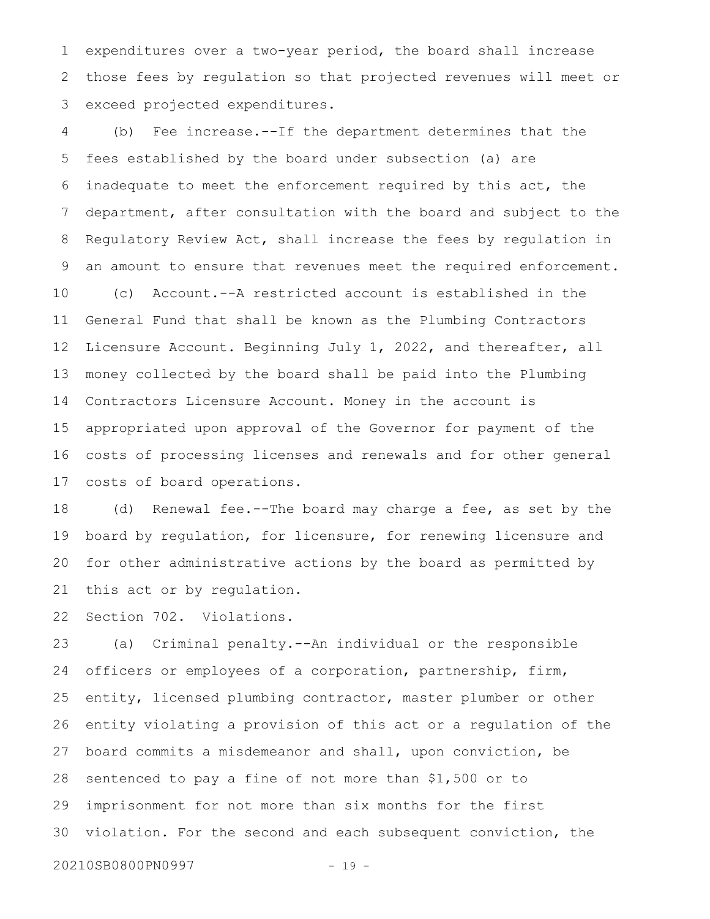expenditures over a two-year period, the board shall increase those fees by regulation so that projected revenues will meet or exceed projected expenditures. 1 2 3

(b) Fee increase.--If the department determines that the fees established by the board under subsection (a) are inadequate to meet the enforcement required by this act, the department, after consultation with the board and subject to the Regulatory Review Act, shall increase the fees by regulation in an amount to ensure that revenues meet the required enforcement. (c) Account.--A restricted account is established in the General Fund that shall be known as the Plumbing Contractors Licensure Account. Beginning July 1, 2022, and thereafter, all money collected by the board shall be paid into the Plumbing Contractors Licensure Account. Money in the account is appropriated upon approval of the Governor for payment of the costs of processing licenses and renewals and for other general costs of board operations. 4 5 6 7 8 9 10 11 12 13 14 15 16 17

(d) Renewal fee.--The board may charge a fee, as set by the board by regulation, for licensure, for renewing licensure and for other administrative actions by the board as permitted by this act or by regulation. 18 19 20 21

Section 702. Violations. 22

(a) Criminal penalty.--An individual or the responsible officers or employees of a corporation, partnership, firm, entity, licensed plumbing contractor, master plumber or other entity violating a provision of this act or a regulation of the board commits a misdemeanor and shall, upon conviction, be sentenced to pay a fine of not more than \$1,500 or to imprisonment for not more than six months for the first violation. For the second and each subsequent conviction, the 20210SB0800PN0997 - 19 -23 24 25 26 27 28 29 30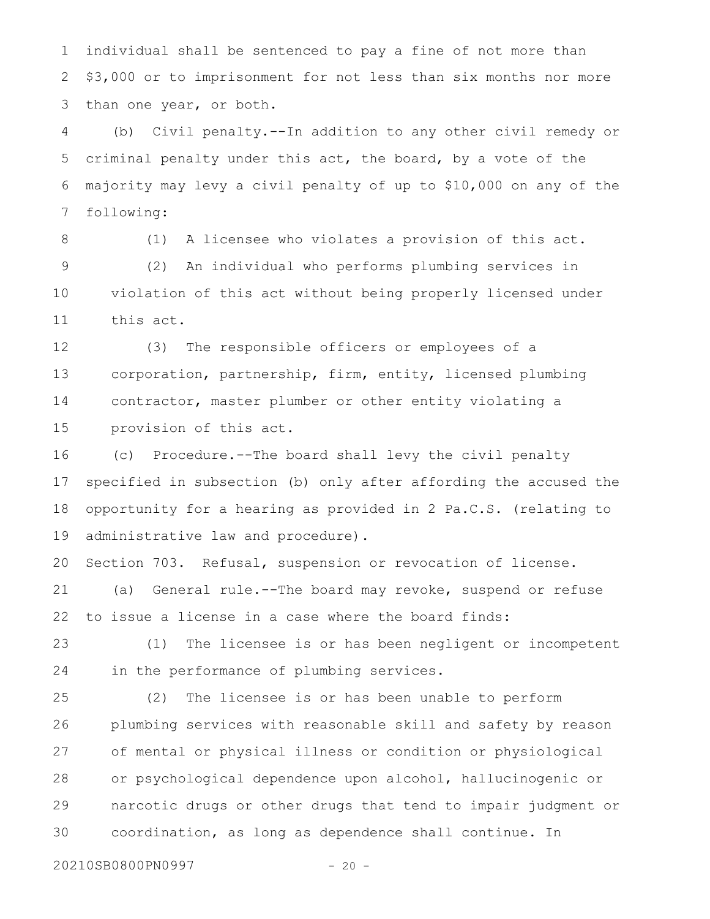individual shall be sentenced to pay a fine of not more than \$3,000 or to imprisonment for not less than six months nor more than one year, or both. 1 2 3

(b) Civil penalty.--In addition to any other civil remedy or criminal penalty under this act, the board, by a vote of the majority may levy a civil penalty of up to \$10,000 on any of the following: 4 5 6 7

8

(1) A licensee who violates a provision of this act.

(2) An individual who performs plumbing services in violation of this act without being properly licensed under this act. 9 10 11

(3) The responsible officers or employees of a corporation, partnership, firm, entity, licensed plumbing contractor, master plumber or other entity violating a provision of this act. 12 13 14 15

(c) Procedure.--The board shall levy the civil penalty specified in subsection (b) only after affording the accused the opportunity for a hearing as provided in 2 Pa.C.S. (relating to administrative law and procedure). 16 17 18 19

Section 703. Refusal, suspension or revocation of license. (a) General rule.--The board may revoke, suspend or refuse to issue a license in a case where the board finds: 20 21 22

(1) The licensee is or has been negligent or incompetent in the performance of plumbing services. 23 24

(2) The licensee is or has been unable to perform plumbing services with reasonable skill and safety by reason of mental or physical illness or condition or physiological or psychological dependence upon alcohol, hallucinogenic or narcotic drugs or other drugs that tend to impair judgment or coordination, as long as dependence shall continue. In 25 26 27 28 29 30

20210SB0800PN0997 - 20 -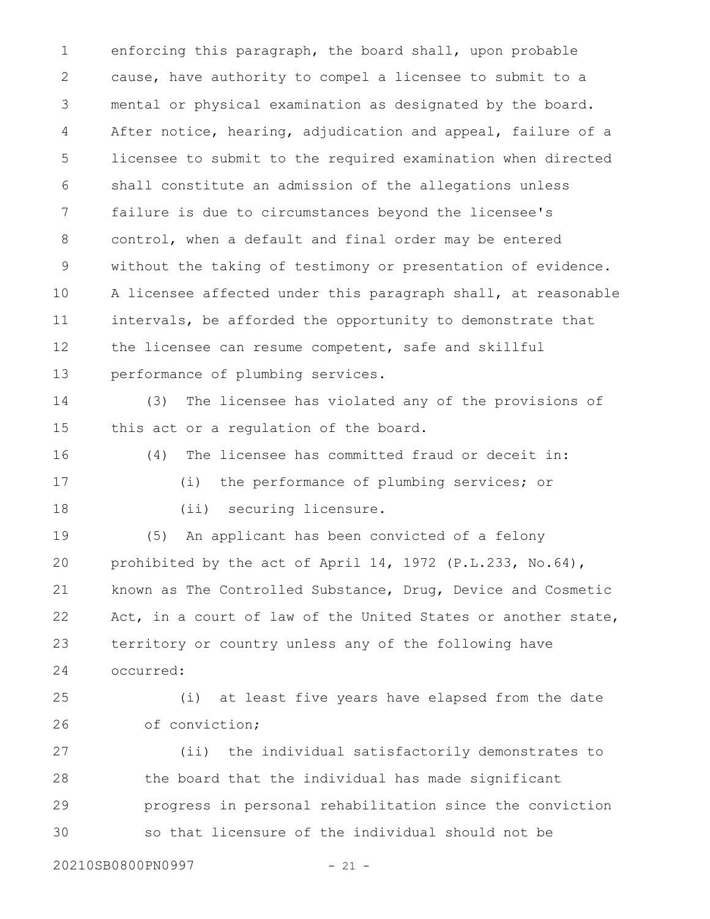enforcing this paragraph, the board shall, upon probable cause, have authority to compel a licensee to submit to a mental or physical examination as designated by the board. After notice, hearing, adjudication and appeal, failure of a licensee to submit to the required examination when directed shall constitute an admission of the allegations unless failure is due to circumstances beyond the licensee's control, when a default and final order may be entered without the taking of testimony or presentation of evidence. A licensee affected under this paragraph shall, at reasonable intervals, be afforded the opportunity to demonstrate that the licensee can resume competent, safe and skillful performance of plumbing services. 1 2 3 4 5 6 7 8 9 10 11 12 13

(3) The licensee has violated any of the provisions of this act or a regulation of the board. 14 15

16

(4) The licensee has committed fraud or deceit in: (i) the performance of plumbing services; or

18

17

(ii) securing licensure.

(5) An applicant has been convicted of a felony prohibited by the act of April 14, 1972 (P.L.233, No.64), known as The Controlled Substance, Drug, Device and Cosmetic Act, in a court of law of the United States or another state, territory or country unless any of the following have occurred: 19 20 21 22 23 24

(i) at least five years have elapsed from the date of conviction; 25 26

(ii) the individual satisfactorily demonstrates to the board that the individual has made significant progress in personal rehabilitation since the conviction so that licensure of the individual should not be 27 28 29 30

20210SB0800PN0997 - 21 -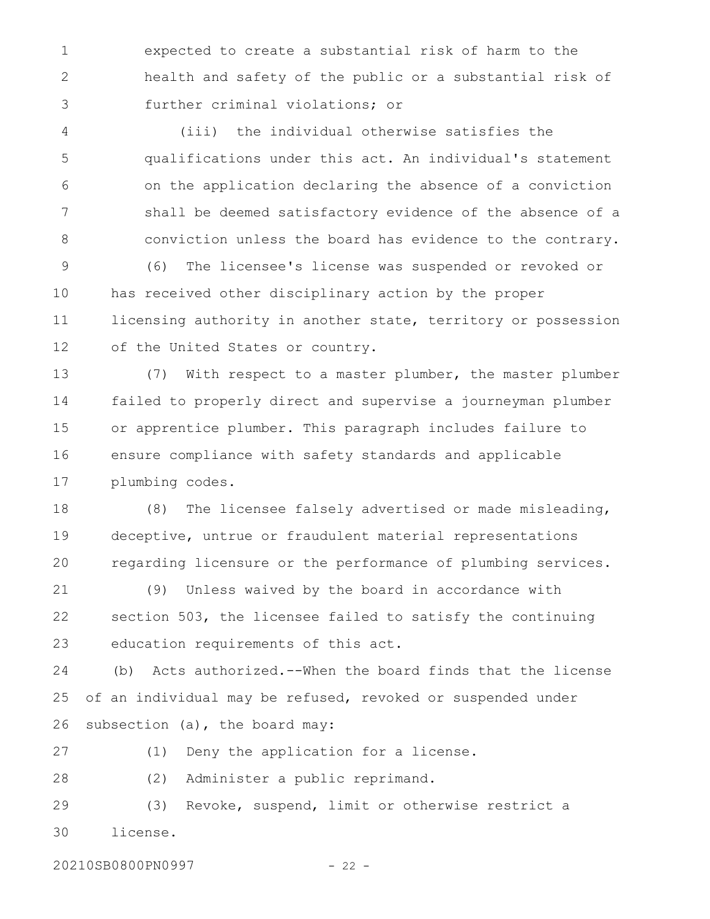expected to create a substantial risk of harm to the health and safety of the public or a substantial risk of further criminal violations; or 1 2 3

(iii) the individual otherwise satisfies the qualifications under this act. An individual's statement on the application declaring the absence of a conviction shall be deemed satisfactory evidence of the absence of a conviction unless the board has evidence to the contrary. 4 5 6 7 8

(6) The licensee's license was suspended or revoked or has received other disciplinary action by the proper licensing authority in another state, territory or possession of the United States or country. 9 10 11 12

(7) With respect to a master plumber, the master plumber failed to properly direct and supervise a journeyman plumber or apprentice plumber. This paragraph includes failure to ensure compliance with safety standards and applicable plumbing codes. 13 14 15 16 17

(8) The licensee falsely advertised or made misleading, deceptive, untrue or fraudulent material representations regarding licensure or the performance of plumbing services. 18 19 20

(9) Unless waived by the board in accordance with section 503, the licensee failed to satisfy the continuing education requirements of this act. 21 22 23

(b) Acts authorized.--When the board finds that the license of an individual may be refused, revoked or suspended under subsection (a), the board may: 24 25 26

27

(1) Deny the application for a license.

(2) Administer a public reprimand. 28

(3) Revoke, suspend, limit or otherwise restrict a license. 29 30

20210SB0800PN0997 - 22 -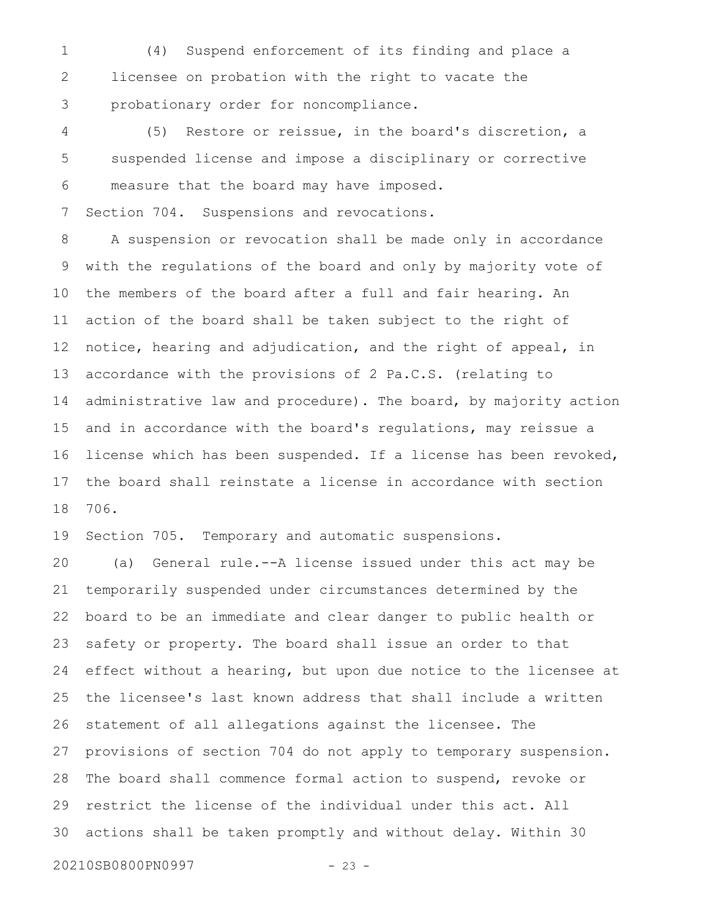(4) Suspend enforcement of its finding and place a licensee on probation with the right to vacate the probationary order for noncompliance. 1 2 3

(5) Restore or reissue, in the board's discretion, a suspended license and impose a disciplinary or corrective measure that the board may have imposed. Section 704. Suspensions and revocations. 4 5 6 7

A suspension or revocation shall be made only in accordance with the regulations of the board and only by majority vote of the members of the board after a full and fair hearing. An action of the board shall be taken subject to the right of notice, hearing and adjudication, and the right of appeal, in accordance with the provisions of 2 Pa.C.S. (relating to administrative law and procedure). The board, by majority action and in accordance with the board's regulations, may reissue a license which has been suspended. If a license has been revoked, the board shall reinstate a license in accordance with section 706. 8 9 10 11 12 13 14 15 16 17 18

Section 705. Temporary and automatic suspensions. 19

(a) General rule.--A license issued under this act may be temporarily suspended under circumstances determined by the board to be an immediate and clear danger to public health or safety or property. The board shall issue an order to that effect without a hearing, but upon due notice to the licensee at the licensee's last known address that shall include a written statement of all allegations against the licensee. The provisions of section 704 do not apply to temporary suspension. The board shall commence formal action to suspend, revoke or restrict the license of the individual under this act. All actions shall be taken promptly and without delay. Within 30 20 21 22 23 24 25 26 27 28 29 30

20210SB0800PN0997 - 23 -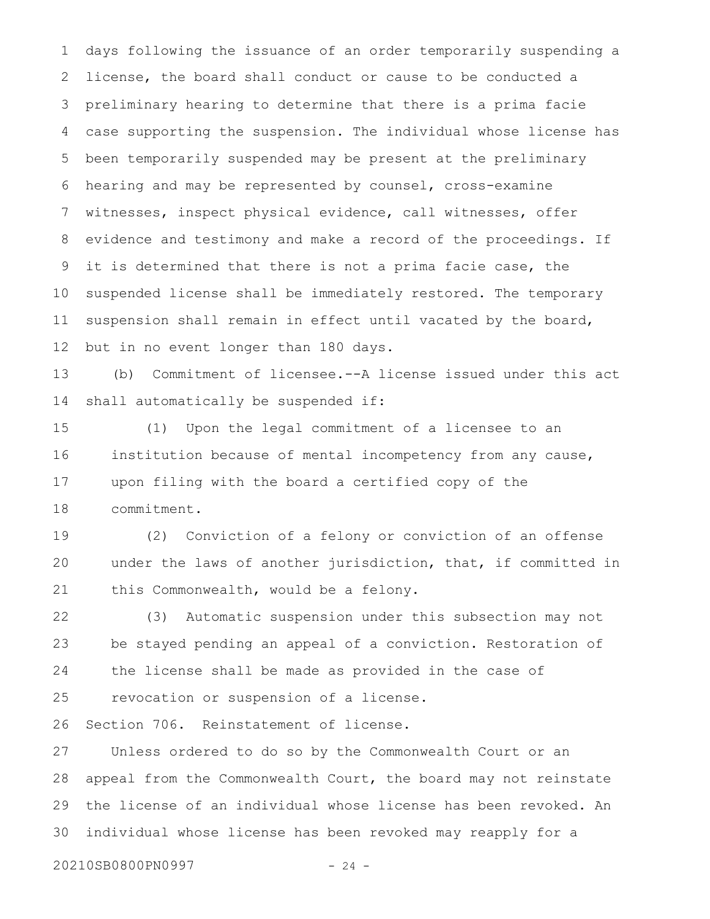days following the issuance of an order temporarily suspending a license, the board shall conduct or cause to be conducted a preliminary hearing to determine that there is a prima facie case supporting the suspension. The individual whose license has been temporarily suspended may be present at the preliminary hearing and may be represented by counsel, cross-examine witnesses, inspect physical evidence, call witnesses, offer evidence and testimony and make a record of the proceedings. If it is determined that there is not a prima facie case, the suspended license shall be immediately restored. The temporary suspension shall remain in effect until vacated by the board, but in no event longer than 180 days. 1 2 3 4 5 6 7 8 9 10 11 12

(b) Commitment of licensee.--A license issued under this act shall automatically be suspended if: 13 14

(1) Upon the legal commitment of a licensee to an institution because of mental incompetency from any cause, upon filing with the board a certified copy of the commitment. 15 16 17 18

(2) Conviction of a felony or conviction of an offense under the laws of another jurisdiction, that, if committed in this Commonwealth, would be a felony. 19 20 21

(3) Automatic suspension under this subsection may not be stayed pending an appeal of a conviction. Restoration of the license shall be made as provided in the case of 22 23 24

revocation or suspension of a license. 25

Section 706. Reinstatement of license. 26

Unless ordered to do so by the Commonwealth Court or an appeal from the Commonwealth Court, the board may not reinstate the license of an individual whose license has been revoked. An individual whose license has been revoked may reapply for a 27 28 29 30

20210SB0800PN0997 - 24 -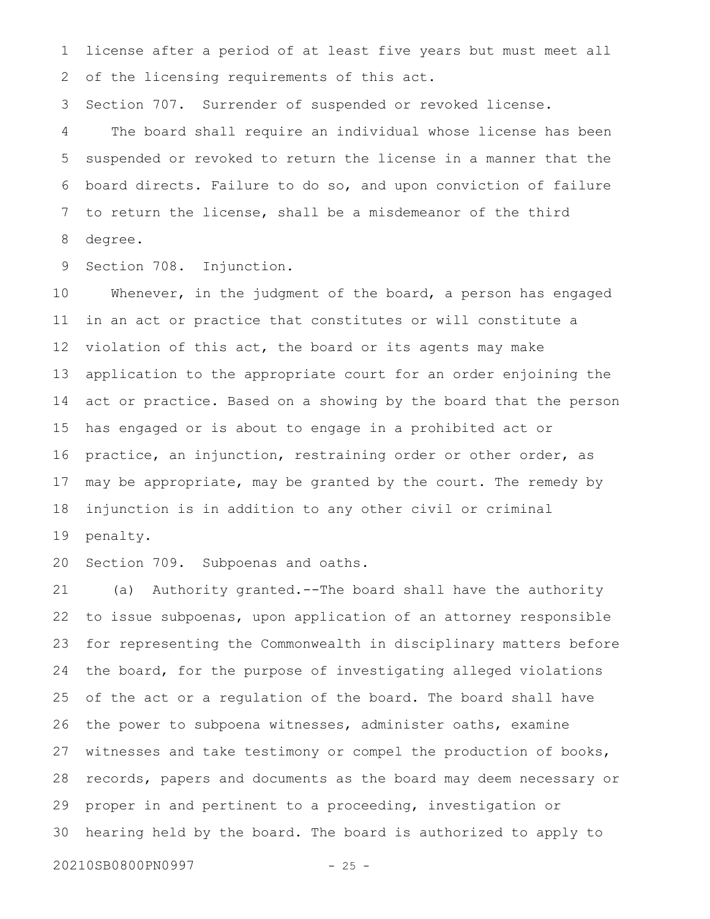license after a period of at least five years but must meet all of the licensing requirements of this act. 1 2

Section 707. Surrender of suspended or revoked license. 3

The board shall require an individual whose license has been suspended or revoked to return the license in a manner that the board directs. Failure to do so, and upon conviction of failure to return the license, shall be a misdemeanor of the third degree. 4 5 6 7 8

Section 708. Injunction. 9

Whenever, in the judgment of the board, a person has engaged in an act or practice that constitutes or will constitute a violation of this act, the board or its agents may make application to the appropriate court for an order enjoining the act or practice. Based on a showing by the board that the person has engaged or is about to engage in a prohibited act or practice, an injunction, restraining order or other order, as may be appropriate, may be granted by the court. The remedy by injunction is in addition to any other civil or criminal penalty. 10 11 12 13 14 15 16 17 18 19

Section 709. Subpoenas and oaths. 20

(a) Authority granted.--The board shall have the authority to issue subpoenas, upon application of an attorney responsible for representing the Commonwealth in disciplinary matters before the board, for the purpose of investigating alleged violations of the act or a regulation of the board. The board shall have the power to subpoena witnesses, administer oaths, examine witnesses and take testimony or compel the production of books, records, papers and documents as the board may deem necessary or proper in and pertinent to a proceeding, investigation or hearing held by the board. The board is authorized to apply to 21 22 23 24 25 26 27 28 29 30

20210SB0800PN0997 - 25 -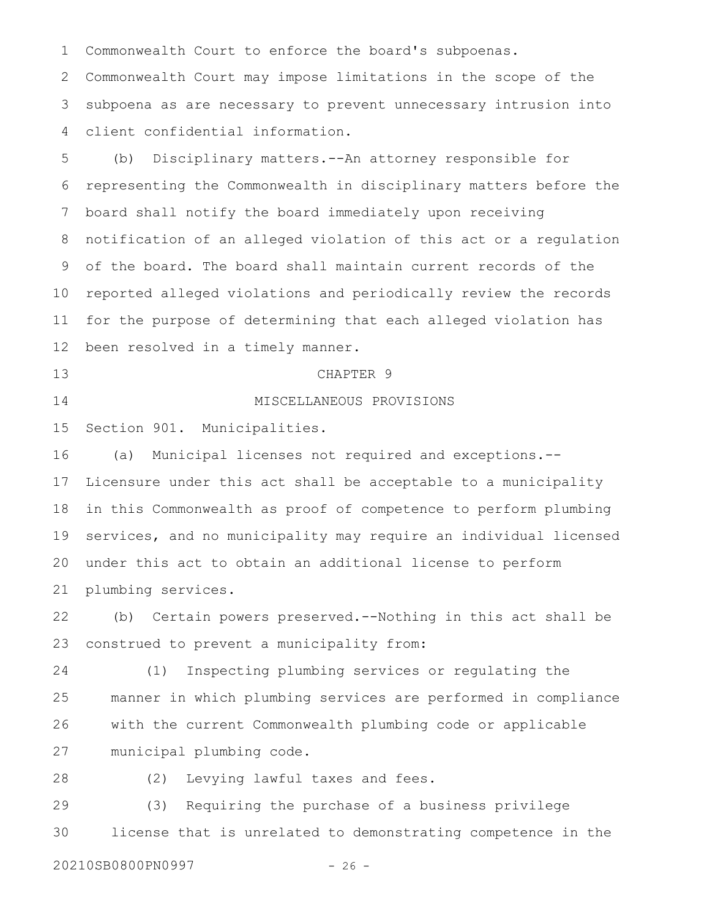Commonwealth Court to enforce the board's subpoenas. 1

Commonwealth Court may impose limitations in the scope of the subpoena as are necessary to prevent unnecessary intrusion into client confidential information. 2 3 4

(b) Disciplinary matters.--An attorney responsible for representing the Commonwealth in disciplinary matters before the board shall notify the board immediately upon receiving notification of an alleged violation of this act or a regulation of the board. The board shall maintain current records of the reported alleged violations and periodically review the records for the purpose of determining that each alleged violation has been resolved in a timely manner. 5 6 7 8 9 10 11 12

13

#### CHAPTER 9

14

### MISCELLANEOUS PROVISIONS

Section 901. Municipalities. 15

(a) Municipal licenses not required and exceptions.-- Licensure under this act shall be acceptable to a municipality in this Commonwealth as proof of competence to perform plumbing services, and no municipality may require an individual licensed under this act to obtain an additional license to perform plumbing services. 16 17 18 19 20 21

(b) Certain powers preserved.--Nothing in this act shall be construed to prevent a municipality from: 22 23

(1) Inspecting plumbing services or regulating the manner in which plumbing services are performed in compliance with the current Commonwealth plumbing code or applicable municipal plumbing code. 24 25 26 27

28

(2) Levying lawful taxes and fees.

(3) Requiring the purchase of a business privilege license that is unrelated to demonstrating competence in the 29 30

20210SB0800PN0997 - 26 -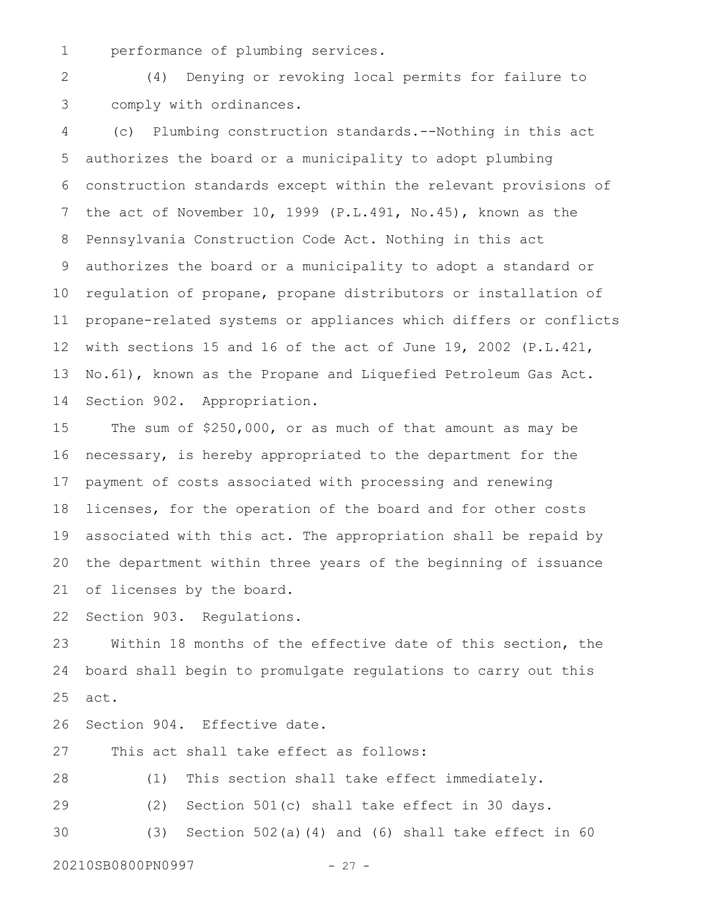performance of plumbing services. 1

(4) Denying or revoking local permits for failure to comply with ordinances. 2 3

(c) Plumbing construction standards.--Nothing in this act authorizes the board or a municipality to adopt plumbing construction standards except within the relevant provisions of the act of November 10, 1999 (P.L.491, No.45), known as the Pennsylvania Construction Code Act. Nothing in this act authorizes the board or a municipality to adopt a standard or regulation of propane, propane distributors or installation of propane-related systems or appliances which differs or conflicts with sections 15 and 16 of the act of June 19, 2002 (P.L.421, No.61), known as the Propane and Liquefied Petroleum Gas Act. Section 902. Appropriation. 4 5 6 7 8 9 10 11 12 13 14

The sum of \$250,000, or as much of that amount as may be necessary, is hereby appropriated to the department for the payment of costs associated with processing and renewing licenses, for the operation of the board and for other costs associated with this act. The appropriation shall be repaid by the department within three years of the beginning of issuance of licenses by the board. 15 16 17 18 19 20 21

Section 903. Regulations. 22

Within 18 months of the effective date of this section, the board shall begin to promulgate regulations to carry out this act. 23 24 25

Section 904. Effective date. 26

This act shall take effect as follows: 27

(1) This section shall take effect immediately. 28

(2) Section 501(c) shall take effect in 30 days. 29

(3) Section 502(a)(4) and (6) shall take effect in 60 30

20210SB0800PN0997 - 27 -